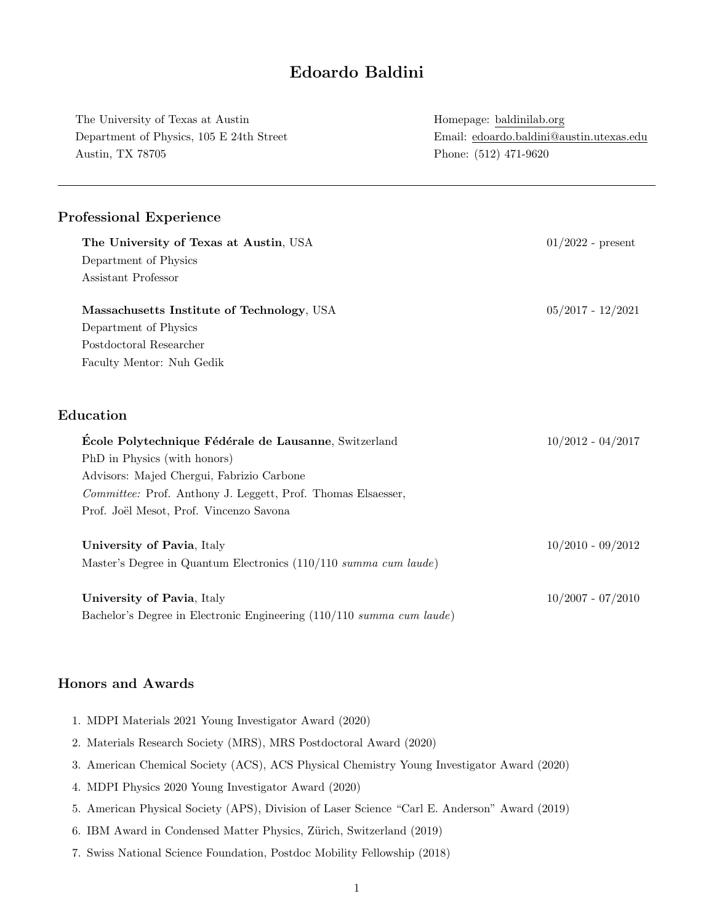# Edoardo Baldini

| The University of Texas at Austin                                     | Homepage: baldinilab.org<br>Email: edoardo.baldini@austin.utexas.edu<br>Phone: (512) 471-9620 |  |
|-----------------------------------------------------------------------|-----------------------------------------------------------------------------------------------|--|
| Department of Physics, 105 E 24th Street<br>Austin, TX 78705          |                                                                                               |  |
|                                                                       |                                                                                               |  |
| <b>Professional Experience</b>                                        |                                                                                               |  |
| The University of Texas at Austin, USA                                | $01/2022$ - present                                                                           |  |
| Department of Physics                                                 |                                                                                               |  |
| Assistant Professor                                                   |                                                                                               |  |
| Massachusetts Institute of Technology, USA                            | $05/2017 - 12/2021$                                                                           |  |
| Department of Physics                                                 |                                                                                               |  |
| Postdoctoral Researcher                                               |                                                                                               |  |
| Faculty Mentor: Nuh Gedik                                             |                                                                                               |  |
| Education                                                             |                                                                                               |  |
| École Polytechnique Fédérale de Lausanne, Switzerland                 | $10/2012 - 04/2017$                                                                           |  |
| PhD in Physics (with honors)                                          |                                                                                               |  |
| Advisors: Majed Chergui, Fabrizio Carbone                             |                                                                                               |  |
| Committee: Prof. Anthony J. Leggett, Prof. Thomas Elsaesser,          |                                                                                               |  |
| Prof. Joël Mesot, Prof. Vincenzo Savona                               |                                                                                               |  |
| University of Pavia, Italy                                            | $10/2010 - 09/2012$                                                                           |  |
| Master's Degree in Quantum Electronics (110/110 summa cum laude)      |                                                                                               |  |
| University of Pavia, Italy                                            | $10/2007 - 07/2010$                                                                           |  |
| Bachelor's Degree in Electronic Engineering (110/110 summa cum laude) |                                                                                               |  |

## Honors and Awards

| 1. MDPI Materials 2021 Young Investigator Award (2020)             |
|--------------------------------------------------------------------|
| 2. Materials Research Society (MRS), MRS Postdoctoral Award (2020) |

- 3. American Chemical Society (ACS), ACS Physical Chemistry Young Investigator Award (2020)
- 4. MDPI Physics 2020 Young Investigator Award (2020)
- 5. American Physical Society (APS), Division of Laser Science "Carl E. Anderson" Award (2019)
- 6. IBM Award in Condensed Matter Physics, Zürich, Switzerland (2019)
- 7. Swiss National Science Foundation, Postdoc Mobility Fellowship (2018)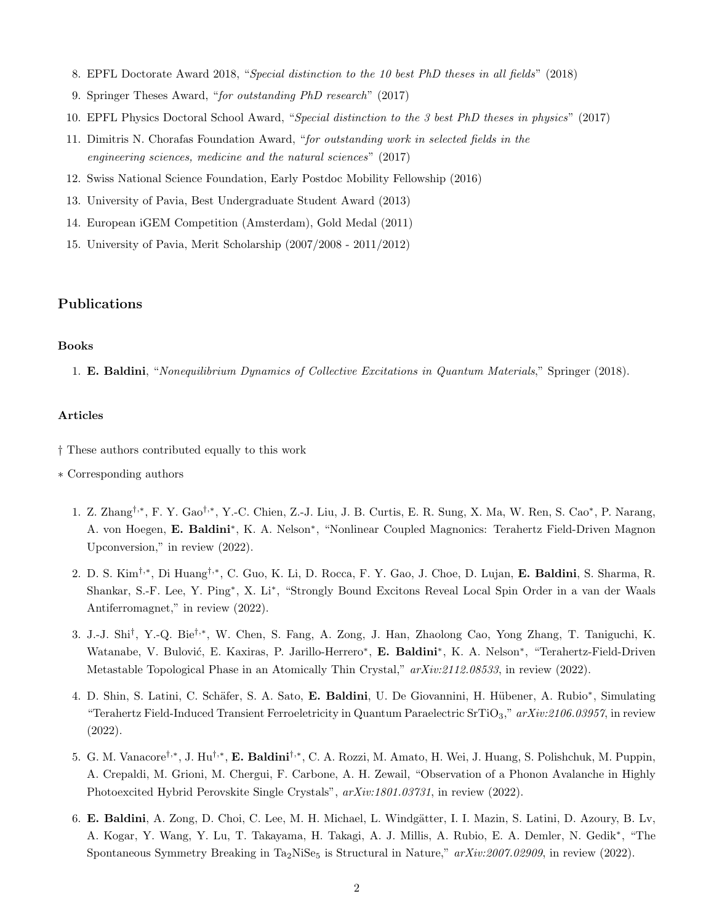- 8. EPFL Doctorate Award 2018, "Special distinction to the 10 best PhD theses in all fields" (2018)
- 9. Springer Theses Award, "for outstanding PhD research" (2017)
- 10. EPFL Physics Doctoral School Award, "Special distinction to the 3 best PhD theses in physics" (2017)
- 11. Dimitris N. Chorafas Foundation Award, "for outstanding work in selected fields in the engineering sciences, medicine and the natural sciences" (2017)
- 12. Swiss National Science Foundation, Early Postdoc Mobility Fellowship (2016)
- 13. University of Pavia, Best Undergraduate Student Award (2013)
- 14. European iGEM Competition (Amsterdam), Gold Medal (2011)
- 15. University of Pavia, Merit Scholarship (2007/2008 2011/2012)

### Publications

#### Books

1. E. Baldini, "Nonequilibrium Dynamics of Collective Excitations in Quantum Materials," Springer (2018).

### Articles

- † These authors contributed equally to this work
- ∗ Corresponding authors
	- 1. Z. Zhang<sup>†,∗</sup>, F. Y. Gao<sup>†,∗</sup>, Y.-C. Chien, Z.-J. Liu, J. B. Curtis, E. R. Sung, X. Ma, W. Ren, S. Cao<sup>∗</sup>, P. Narang, A. von Hoegen, E. Baldini<sup>\*</sup>, K. A. Nelson<sup>\*</sup>, "Nonlinear Coupled Magnonics: Terahertz Field-Driven Magnon Upconversion," in review (2022).
	- 2. D. S. Kim<sup>†,∗</sup>, Di Huang<sup>†,∗</sup>, C. Guo, K. Li, D. Rocca, F. Y. Gao, J. Choe, D. Lujan, **E. Baldini**, S. Sharma, R. Shankar, S.-F. Lee, Y. Ping<sup>∗</sup> , X. Li<sup>∗</sup> , "Strongly Bound Excitons Reveal Local Spin Order in a van der Waals Antiferromagnet," in review (2022).
	- 3. J.-J. Shi<sup>†</sup>, Y.-Q. Bie<sup>†,∗</sup>, W. Chen, S. Fang, A. Zong, J. Han, Zhaolong Cao, Yong Zhang, T. Taniguchi, K. Watanabe, V. Bulović, E. Kaxiras, P. Jarillo-Herrero<sup>\*</sup>, E. Baldini<sup>\*</sup>, K. A. Nelson<sup>\*</sup>, "Terahertz-Field-Driven Metastable Topological Phase in an Atomically Thin Crystal," arXiv:2112.08533, in review (2022).
	- 4. D. Shin, S. Latini, C. Schäfer, S. A. Sato, E. Baldini, U. De Giovannini, H. Hübener, A. Rubio<sup>\*</sup>, Simulating "Terahertz Field-Induced Transient Ferroeletricity in Quantum Paraelectric SrTiO<sub>3</sub>," arXiv:2106.03957, in review (2022).
	- 5. G. M. Vanacore<sup>†,∗</sup>, J. Hu<sup>†,∗</sup>, **E. Baldini**<sup>†,∗</sup>, C. A. Rozzi, M. Amato, H. Wei, J. Huang, S. Polishchuk, M. Puppin, A. Crepaldi, M. Grioni, M. Chergui, F. Carbone, A. H. Zewail, "Observation of a Phonon Avalanche in Highly Photoexcited Hybrid Perovskite Single Crystals", arXiv:1801.03731, in review (2022).
	- 6. E. Baldini, A. Zong, D. Choi, C. Lee, M. H. Michael, L. Windgätter, I. I. Mazin, S. Latini, D. Azoury, B. Lv, A. Kogar, Y. Wang, Y. Lu, T. Takayama, H. Takagi, A. J. Millis, A. Rubio, E. A. Demler, N. Gedik<sup>∗</sup> , "The Spontaneous Symmetry Breaking in Ta<sub>2</sub>NiSe<sub>5</sub> is Structural in Nature,"  $arXiv:2007.02909$ , in review (2022).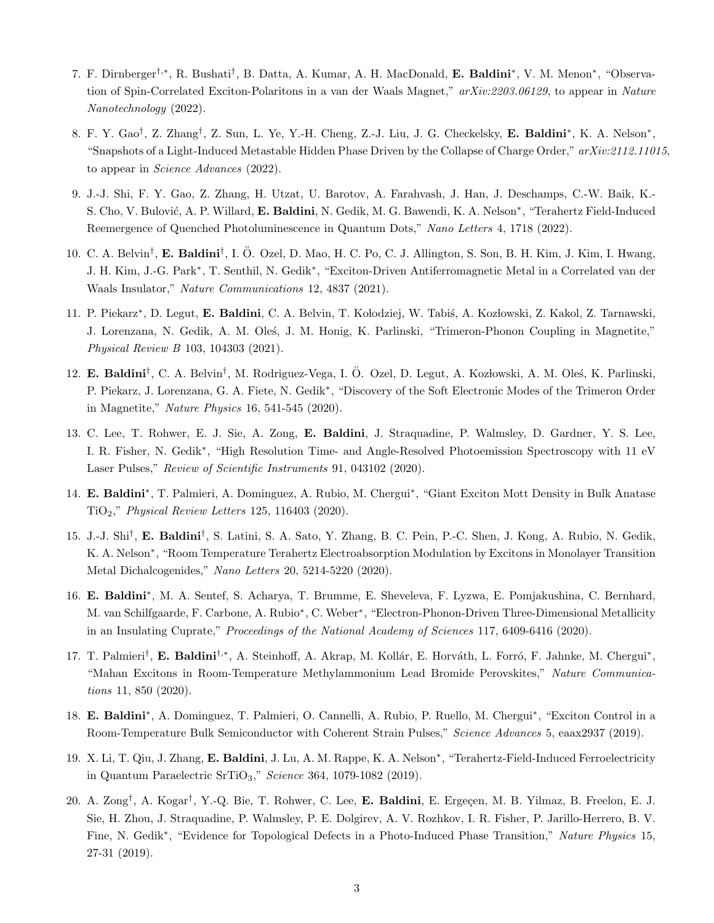- 7. F. Dirnberger<sup>†,∗</sup>, R. Bushati<sup>†</sup>, B. Datta, A. Kumar, A. H. MacDonald, **E. Baldini**<sup>\*</sup>, V. M. Menon<sup>\*</sup>, "Observation of Spin-Correlated Exciton-Polaritons in a van der Waals Magnet," arXiv:2203.06129, to appear in Nature Nanotechnology (2022).
- 8. F. Y. Gao<sup>†</sup>, Z. Zhang<sup>†</sup>, Z. Sun, L. Ye, Y.-H. Cheng, Z.-J. Liu, J. G. Checkelsky, **E. Baldini**<sup>\*</sup>, K. A. Nelson<sup>\*</sup>, "Snapshots of a Light-Induced Metastable Hidden Phase Driven by the Collapse of Charge Order,"  $arXiv:2112.11015$ , to appear in Science Advances (2022).
- 9. J.-J. Shi, F. Y. Gao, Z. Zhang, H. Utzat, U. Barotov, A. Farahvash, J. Han, J. Deschamps, C.-W. Baik, K.- S. Cho, V. Bulović, A. P. Willard, E. Baldini, N. Gedik, M. G. Bawendi, K. A. Nelson<sup>\*</sup>, "Terahertz Field-Induced Reemergence of Quenched Photoluminescence in Quantum Dots," Nano Letters 4, 1718 (2022).
- 10. C. A. Belvin<sup>†</sup>, E. Baldini<sup>†</sup>, I. Ö. Ozel, D. Mao, H. C. Po, C. J. Allington, S. Son, B. H. Kim, J. Kim, I. Hwang, J. H. Kim, J.-G. Park<sup>∗</sup> , T. Senthil, N. Gedik<sup>∗</sup> , "Exciton-Driven Antiferromagnetic Metal in a Correlated van der Waals Insulator," Nature Communications 12, 4837 (2021).
- 11. P. Piekarz\*, D. Legut, E. Baldini, C. A. Belvin, T. Kołodziej, W. Tabiś, A. Kozłowski, Z. Kakol, Z. Tarnawski, J. Lorenzana, N. Gedik, A. M. Oleś, J. M. Honig, K. Parlinski, "Trimeron-Phonon Coupling in Magnetite," Physical Review B 103, 104303 (2021).
- 12. E. Baldini<sup>†</sup>, C. A. Belvin<sup>†</sup>, M. Rodriguez-Vega, I. Ö. Ozel, D. Legut, A. Kozłowski, A. M. Oleś, K. Parlinski, P. Piekarz, J. Lorenzana, G. A. Fiete, N. Gedik<sup>∗</sup> , "Discovery of the Soft Electronic Modes of the Trimeron Order in Magnetite," Nature Physics 16, 541-545 (2020).
- 13. C. Lee, T. Rohwer, E. J. Sie, A. Zong, E. Baldini, J. Straquadine, P. Walmsley, D. Gardner, Y. S. Lee, I. R. Fisher, N. Gedik<sup>\*</sup>, "High Resolution Time- and Angle-Resolved Photoemission Spectroscopy with 11 eV Laser Pulses," Review of Scientific Instruments 91, 043102 (2020).
- 14. E. Baldini\*, T. Palmieri, A. Dominguez, A. Rubio, M. Chergui\*, "Giant Exciton Mott Density in Bulk Anatase TiO2," Physical Review Letters 125, 116403 (2020).
- 15. J.-J. Shi<sup>†</sup>, E. Baldini<sup>†</sup>, S. Latini, S. A. Sato, Y. Zhang, B. C. Pein, P.-C. Shen, J. Kong, A. Rubio, N. Gedik, K. A. Nelson<sup>∗</sup> , "Room Temperature Terahertz Electroabsorption Modulation by Excitons in Monolayer Transition Metal Dichalcogenides," Nano Letters 20, 5214-5220 (2020).
- 16. E. Baldini<sup>∗</sup> , M. A. Sentef, S. Acharya, T. Brumme, E. Sheveleva, F. Lyzwa, E. Pomjakushina, C. Bernhard, M. van Schilfgaarde, F. Carbone, A. Rubio<sup>\*</sup>, C. Weber<sup>\*</sup>, "Electron-Phonon-Driven Three-Dimensional Metallicity in an Insulating Cuprate," Proceedings of the National Academy of Sciences 117, 6409-6416 (2020).
- 17. T. Palmieri<sup>†</sup>, E. Baldini<sup>†,\*</sup>, A. Steinhoff, A. Akrap, M. Kollár, E. Horváth, L. Forró, F. Jahnke, M. Chergui<sup>\*</sup>, "Mahan Excitons in Room-Temperature Methylammonium Lead Bromide Perovskites," Nature Communications 11, 850 (2020).
- 18. E. Baldini<sup>\*</sup>, A. Dominguez, T. Palmieri, O. Cannelli, A. Rubio, P. Ruello, M. Chergui<sup>\*</sup>, "Exciton Control in a Room-Temperature Bulk Semiconductor with Coherent Strain Pulses," Science Advances 5, eaax2937 (2019).
- 19. X. Li, T. Qiu, J. Zhang, E. Baldini, J. Lu, A. M. Rappe, K. A. Nelson<sup>\*</sup>, "Terahertz-Field-Induced Ferroelectricity in Quantum Paraelectric SrTiO3," Science 364, 1079-1082 (2019).
- 20. A. Zong<sup>†</sup>, A. Kogar<sup>†</sup>, Y.-Q. Bie, T. Rohwer, C. Lee, **E. Baldini**, E. Ergeçen, M. B. Yilmaz, B. Freelon, E. J. Sie, H. Zhou, J. Straquadine, P. Walmsley, P. E. Dolgirev, A. V. Rozhkov, I. R. Fisher, P. Jarillo-Herrero, B. V. Fine, N. Gedik<sup>\*</sup>, "Evidence for Topological Defects in a Photo-Induced Phase Transition," Nature Physics 15, 27-31 (2019).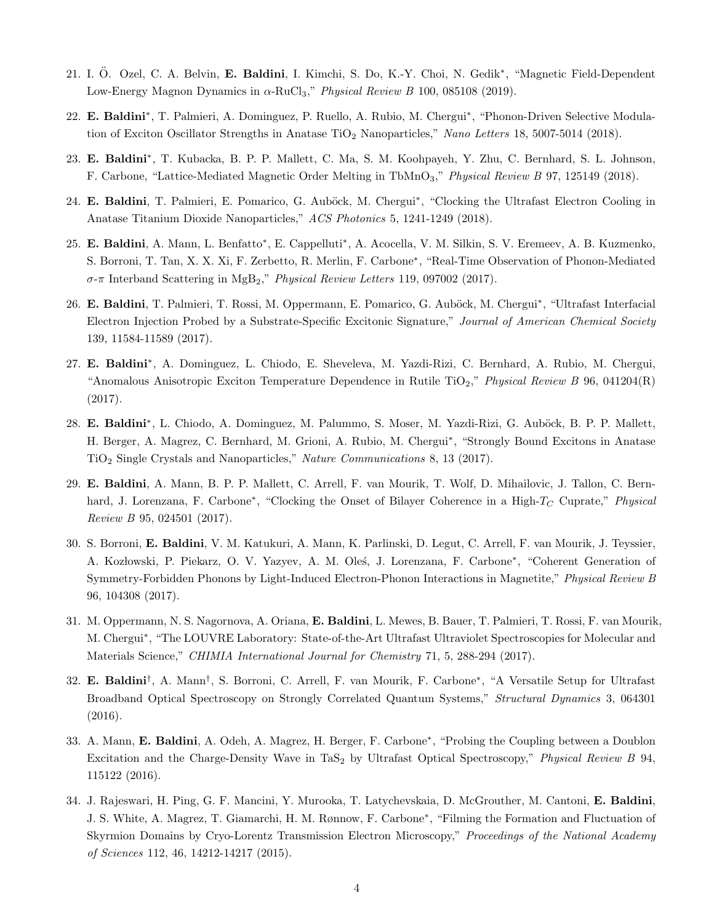- 21. I. Ö. Ozel, C. A. Belvin, E. Baldini, I. Kimchi, S. Do, K.-Y. Choi, N. Gedik<sup>\*</sup>, "Magnetic Field-Dependent Low-Energy Magnon Dynamics in  $\alpha$ -RuCl<sub>3</sub>," *Physical Review B* 100, 085108 (2019).
- 22. E. Baldini\*, T. Palmieri, A. Dominguez, P. Ruello, A. Rubio, M. Chergui\*, "Phonon-Driven Selective Modulation of Exciton Oscillator Strengths in Anatase TiO<sub>2</sub> Nanoparticles," Nano Letters 18, 5007-5014 (2018).
- 23. E. Baldini<sup>\*</sup>, T. Kubacka, B. P. P. Mallett, C. Ma, S. M. Koohpayeh, Y. Zhu, C. Bernhard, S. L. Johnson, F. Carbone, "Lattice-Mediated Magnetic Order Melting in TbMnO3," Physical Review B 97, 125149 (2018).
- 24. E. Baldini, T. Palmieri, E. Pomarico, G. Auböck, M. Chergui\*, "Clocking the Ultrafast Electron Cooling in Anatase Titanium Dioxide Nanoparticles," ACS Photonics 5, 1241-1249 (2018).
- 25. E. Baldini, A. Mann, L. Benfatto\*, E. Cappelluti\*, A. Acocella, V. M. Silkin, S. V. Eremeev, A. B. Kuzmenko, S. Borroni, T. Tan, X. X. Xi, F. Zerbetto, R. Merlin, F. Carbone<sup>∗</sup> , "Real-Time Observation of Phonon-Mediated σ-π Interband Scattering in MgB2," Physical Review Letters 119, 097002 (2017).
- 26. E. Baldini, T. Palmieri, T. Rossi, M. Oppermann, E. Pomarico, G. Auböck, M. Chergui<sup>\*</sup>, "Ultrafast Interfacial Electron Injection Probed by a Substrate-Specific Excitonic Signature," Journal of American Chemical Society 139, 11584-11589 (2017).
- 27. E. Baldini<sup>\*</sup>, A. Dominguez, L. Chiodo, E. Sheveleva, M. Yazdi-Rizi, C. Bernhard, A. Rubio, M. Chergui, "Anomalous Anisotropic Exciton Temperature Dependence in Rutile TiO<sub>2</sub>," Physical Review B 96, 041204(R) (2017).
- 28. E. Baldini<sup>\*</sup>, L. Chiodo, A. Dominguez, M. Palummo, S. Moser, M. Yazdi-Rizi, G. Auböck, B. P. P. Mallett, H. Berger, A. Magrez, C. Bernhard, M. Grioni, A. Rubio, M. Chergui<sup>\*</sup>, "Strongly Bound Excitons in Anatase TiO<sup>2</sup> Single Crystals and Nanoparticles," Nature Communications 8, 13 (2017).
- 29. E. Baldini, A. Mann, B. P. P. Mallett, C. Arrell, F. van Mourik, T. Wolf, D. Mihailovic, J. Tallon, C. Bernhard, J. Lorenzana, F. Carbone<sup>\*</sup>, "Clocking the Onset of Bilayer Coherence in a High-T<sub>C</sub> Cuprate," Physical Review B 95, 024501 (2017).
- 30. S. Borroni, E. Baldini, V. M. Katukuri, A. Mann, K. Parlinski, D. Legut, C. Arrell, F. van Mourik, J. Teyssier, A. Kozłowski, P. Piekarz, O. V. Yazyev, A. M. Oleś, J. Lorenzana, F. Carbone\*, "Coherent Generation of Symmetry-Forbidden Phonons by Light-Induced Electron-Phonon Interactions in Magnetite," Physical Review B 96, 104308 (2017).
- 31. M. Oppermann, N. S. Nagornova, A. Oriana, E. Baldini, L. Mewes, B. Bauer, T. Palmieri, T. Rossi, F. van Mourik, M. Chergui<sup>∗</sup> , "The LOUVRE Laboratory: State-of-the-Art Ultrafast Ultraviolet Spectroscopies for Molecular and Materials Science," CHIMIA International Journal for Chemistry 71, 5, 288-294 (2017).
- 32. E. Baldini<sup>†</sup>, A. Mann<sup>†</sup>, S. Borroni, C. Arrell, F. van Mourik, F. Carbone<sup>\*</sup>, "A Versatile Setup for Ultrafast Broadband Optical Spectroscopy on Strongly Correlated Quantum Systems," Structural Dynamics 3, 064301 (2016).
- 33. A. Mann, E. Baldini, A. Odeh, A. Magrez, H. Berger, F. Carbone<sup>\*</sup>, "Probing the Coupling between a Doublon Excitation and the Charge-Density Wave in TaS<sub>2</sub> by Ultrafast Optical Spectroscopy," Physical Review B 94, 115122 (2016).
- 34. J. Rajeswari, H. Ping, G. F. Mancini, Y. Murooka, T. Latychevskaia, D. McGrouther, M. Cantoni, E. Baldini, J. S. White, A. Magrez, T. Giamarchi, H. M. Rønnow, F. Carbone<sup>∗</sup> , "Filming the Formation and Fluctuation of Skyrmion Domains by Cryo-Lorentz Transmission Electron Microscopy," Proceedings of the National Academy of Sciences 112, 46, 14212-14217 (2015).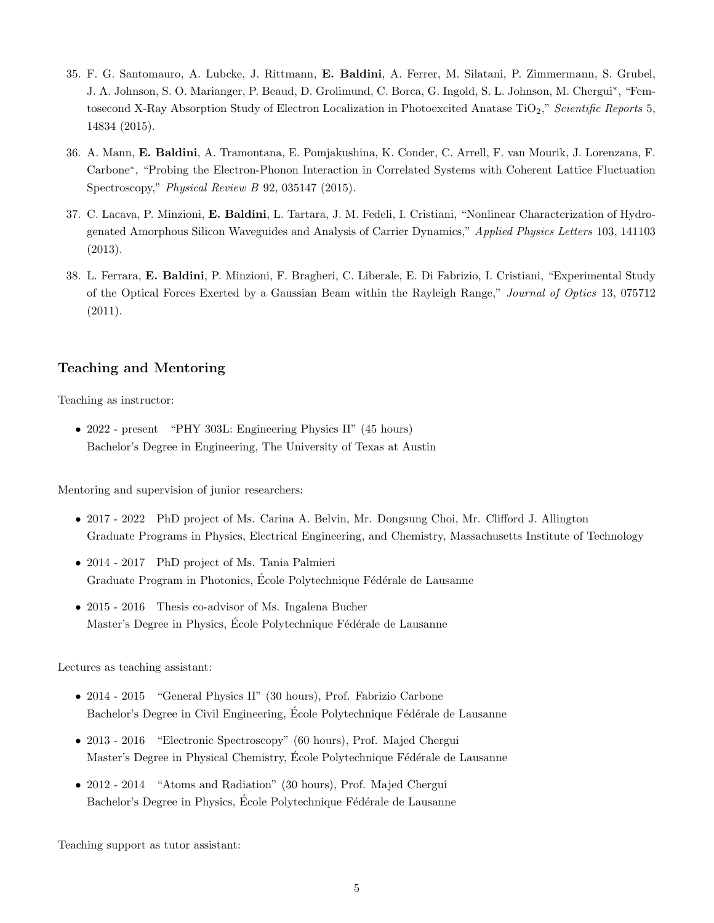- 35. F. G. Santomauro, A. Lubcke, J. Rittmann, E. Baldini, A. Ferrer, M. Silatani, P. Zimmermann, S. Grubel, J. A. Johnson, S. O. Marianger, P. Beaud, D. Grolimund, C. Borca, G. Ingold, S. L. Johnson, M. Chergui\*, "Femtosecond X-Ray Absorption Study of Electron Localization in Photoexcited Anatase TiO<sub>2</sub>," Scientific Reports 5, 14834 (2015).
- 36. A. Mann, E. Baldini, A. Tramontana, E. Pomjakushina, K. Conder, C. Arrell, F. van Mourik, J. Lorenzana, F. Carbone<sup>∗</sup> , "Probing the Electron-Phonon Interaction in Correlated Systems with Coherent Lattice Fluctuation Spectroscopy," Physical Review B 92, 035147 (2015).
- 37. C. Lacava, P. Minzioni, E. Baldini, L. Tartara, J. M. Fedeli, I. Cristiani, "Nonlinear Characterization of Hydrogenated Amorphous Silicon Waveguides and Analysis of Carrier Dynamics," Applied Physics Letters 103, 141103 (2013).
- 38. L. Ferrara, E. Baldini, P. Minzioni, F. Bragheri, C. Liberale, E. Di Fabrizio, I. Cristiani, "Experimental Study of the Optical Forces Exerted by a Gaussian Beam within the Rayleigh Range," Journal of Optics 13, 075712 (2011).

### Teaching and Mentoring

Teaching as instructor:

• 2022 - present "PHY 303L: Engineering Physics II" (45 hours) Bachelor's Degree in Engineering, The University of Texas at Austin

Mentoring and supervision of junior researchers:

- 2017 2022 PhD project of Ms. Carina A. Belvin, Mr. Dongsung Choi, Mr. Clifford J. Allington Graduate Programs in Physics, Electrical Engineering, and Chemistry, Massachusetts Institute of Technology
- 2014 2017 PhD project of Ms. Tania Palmieri Graduate Program in Photonics, École Polytechnique Fédérale de Lausanne
- 2015 2016 Thesis co-advisor of Ms. Ingalena Bucher Master's Degree in Physics, École Polytechnique Fédérale de Lausanne

Lectures as teaching assistant:

- 2014 2015 "General Physics II" (30 hours), Prof. Fabrizio Carbone Bachelor's Degree in Civil Engineering, École Polytechnique Fédérale de Lausanne
- 2013 2016 "Electronic Spectroscopy" (60 hours), Prof. Majed Chergui Master's Degree in Physical Chemistry, École Polytechnique Fédérale de Lausanne
- 2012 2014 "Atoms and Radiation" (30 hours), Prof. Majed Chergui Bachelor's Degree in Physics, École Polytechnique Fédérale de Lausanne

Teaching support as tutor assistant: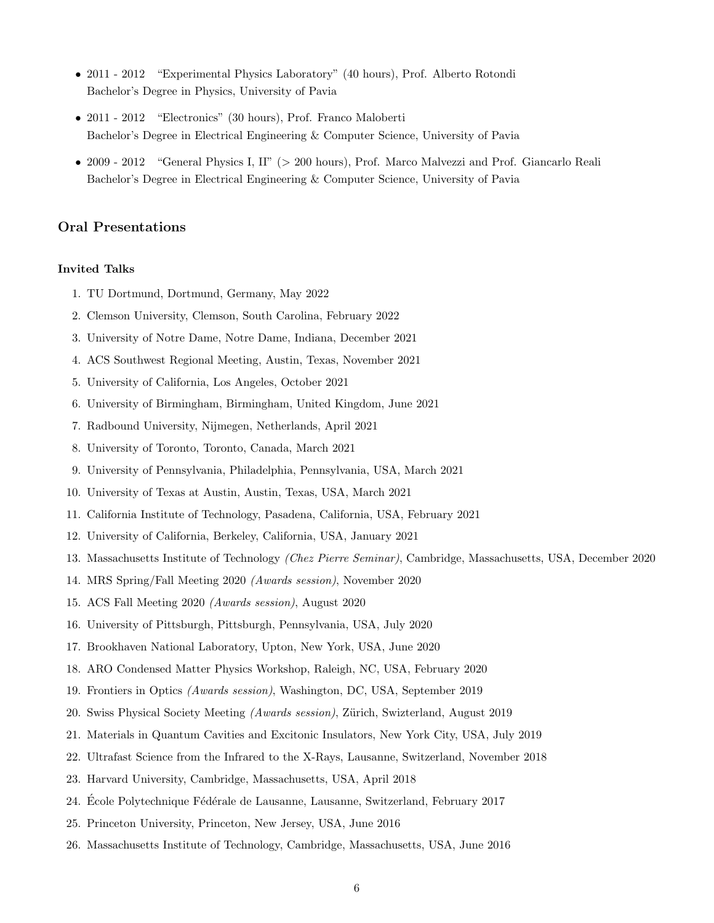- 2011 2012 "Experimental Physics Laboratory" (40 hours), Prof. Alberto Rotondi Bachelor's Degree in Physics, University of Pavia
- 2011 2012 "Electronics" (30 hours), Prof. Franco Maloberti Bachelor's Degree in Electrical Engineering & Computer Science, University of Pavia
- 2009 2012 "General Physics I, II" (> 200 hours), Prof. Marco Malvezzi and Prof. Giancarlo Reali Bachelor's Degree in Electrical Engineering & Computer Science, University of Pavia

### Oral Presentations

### Invited Talks

- 1. TU Dortmund, Dortmund, Germany, May 2022
- 2. Clemson University, Clemson, South Carolina, February 2022
- 3. University of Notre Dame, Notre Dame, Indiana, December 2021
- 4. ACS Southwest Regional Meeting, Austin, Texas, November 2021
- 5. University of California, Los Angeles, October 2021
- 6. University of Birmingham, Birmingham, United Kingdom, June 2021
- 7. Radbound University, Nijmegen, Netherlands, April 2021
- 8. University of Toronto, Toronto, Canada, March 2021
- 9. University of Pennsylvania, Philadelphia, Pennsylvania, USA, March 2021
- 10. University of Texas at Austin, Austin, Texas, USA, March 2021
- 11. California Institute of Technology, Pasadena, California, USA, February 2021
- 12. University of California, Berkeley, California, USA, January 2021
- 13. Massachusetts Institute of Technology (Chez Pierre Seminar), Cambridge, Massachusetts, USA, December 2020
- 14. MRS Spring/Fall Meeting 2020 (Awards session), November 2020
- 15. ACS Fall Meeting 2020 (Awards session), August 2020
- 16. University of Pittsburgh, Pittsburgh, Pennsylvania, USA, July 2020
- 17. Brookhaven National Laboratory, Upton, New York, USA, June 2020
- 18. ARO Condensed Matter Physics Workshop, Raleigh, NC, USA, February 2020
- 19. Frontiers in Optics (Awards session), Washington, DC, USA, September 2019
- 20. Swiss Physical Society Meeting (Awards session), Zürich, Swizterland, August 2019
- 21. Materials in Quantum Cavities and Excitonic Insulators, New York City, USA, July 2019
- 22. Ultrafast Science from the Infrared to the X-Rays, Lausanne, Switzerland, November 2018
- 23. Harvard University, Cambridge, Massachusetts, USA, April 2018
- 24. Ecole Polytechnique Fédérale de Lausanne, Lausanne, Switzerland, February 2017
- 25. Princeton University, Princeton, New Jersey, USA, June 2016
- 26. Massachusetts Institute of Technology, Cambridge, Massachusetts, USA, June 2016